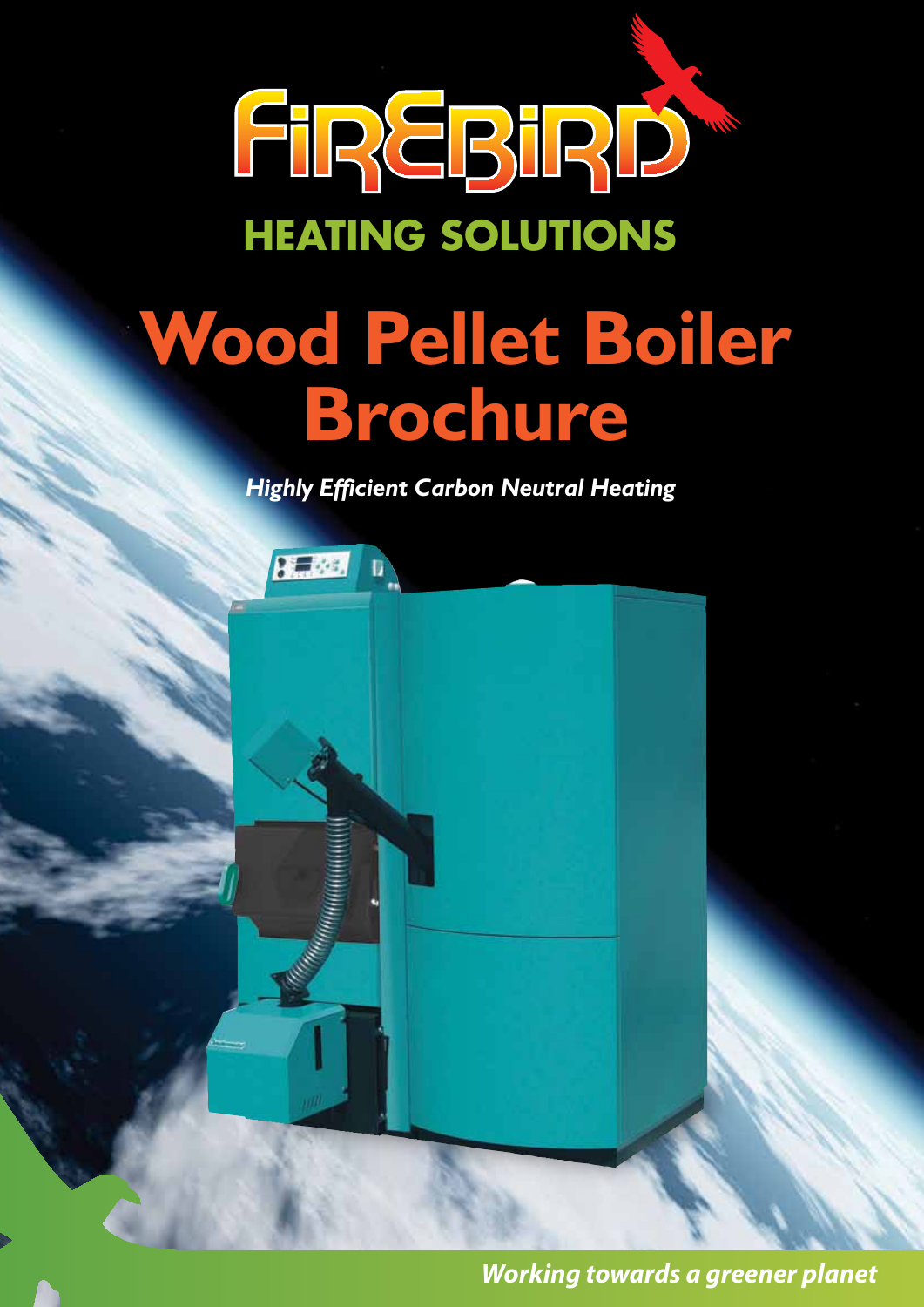

*Highly Efficient Carbon Neutral Heating*



*Working towards a greener planet*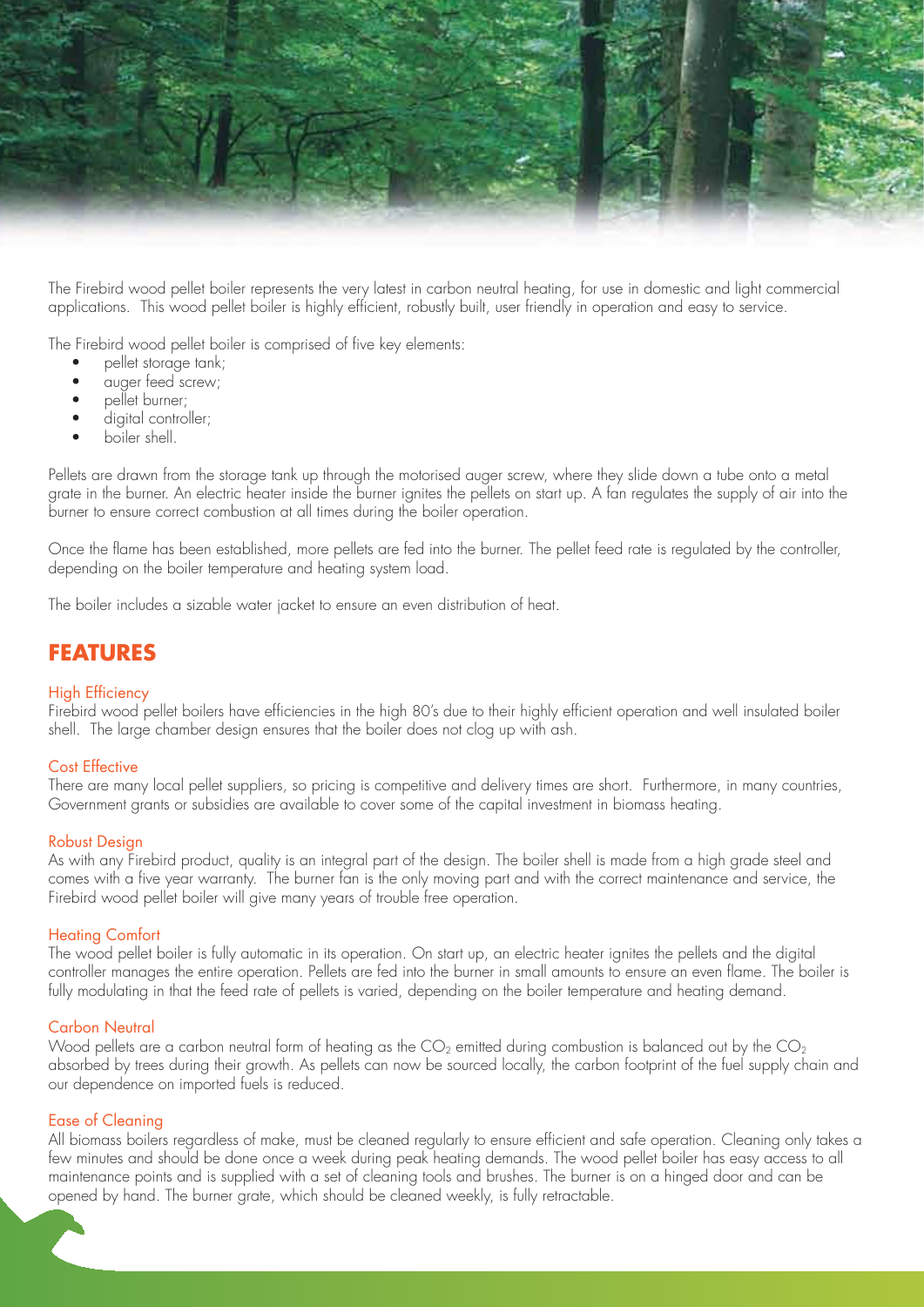

The Firebird wood pellet boiler represents the very latest in carbon neutral heating, for use in domestic and light commercial applications. This wood pellet boiler is highly efficient, robustly built, user friendly in operation and easy to service.

The Firebird wood pellet boiler is comprised of five key elements:

- pellet storage tank;
- auger feed screw;
- pellet burner;
- digital controller;
- boiler shell.

Pellets are drawn from the storage tank up through the motorised auger screw, where they slide down a tube onto a metal grate in the burner. An electric heater inside the burner ignites the pellets on start up. A fan regulates the supply of air into the burner to ensure correct combustion at all times during the boiler operation.

Once the flame has been established, more pellets are fed into the burner. The pellet feed rate is regulated by the controller, depending on the boiler temperature and heating system load.

The boiler includes a sizable water jacket to ensure an even distribution of heat.

### **FEATURES**

#### High Efficiency

Firebird wood pellet boilers have efficiencies in the high 80's due to their highly efficient operation and well insulated boiler shell. The large chamber design ensures that the boiler does not clog up with ash.

#### Cost Effective

There are many local pellet suppliers, so pricing is competitive and delivery times are short. Furthermore, in many countries, Government grants or subsidies are available to cover some of the capital investment in biomass heating.

#### Robust Design

As with any Firebird product, quality is an integral part of the design. The boiler shell is made from a high grade steel and comes with a five year warranty. The burner fan is the only moving part and with the correct maintenance and service, the Firebird wood pellet boiler will give many years of trouble free operation.

#### Heating Comfort

The wood pellet boiler is fully automatic in its operation. On start up, an electric heater ignites the pellets and the digital controller manages the entire operation. Pellets are fed into the burner in small amounts to ensure an even flame. The boiler is fully modulating in that the feed rate of pellets is varied, depending on the boiler temperature and heating demand.

#### Carbon Neutral

Wood pellets are a carbon neutral form of heating as the  $CO_2$  emitted during combustion is balanced out by the  $CO_2$ absorbed by trees during their growth. As pellets can now be sourced locally, the carbon footprint of the fuel supply chain and our dependence on imported fuels is reduced.

#### Ease of Cleaning

All biomass boilers regardless of make, must be cleaned regularly to ensure efficient and safe operation. Cleaning only takes a few minutes and should be done once a week during peak heating demands. The wood pellet boiler has easy access to all maintenance points and is supplied with a set of cleaning tools and brushes. The burner is on a hinged door and can be opened by hand. The burner grate, which should be cleaned weekly, is fully retractable.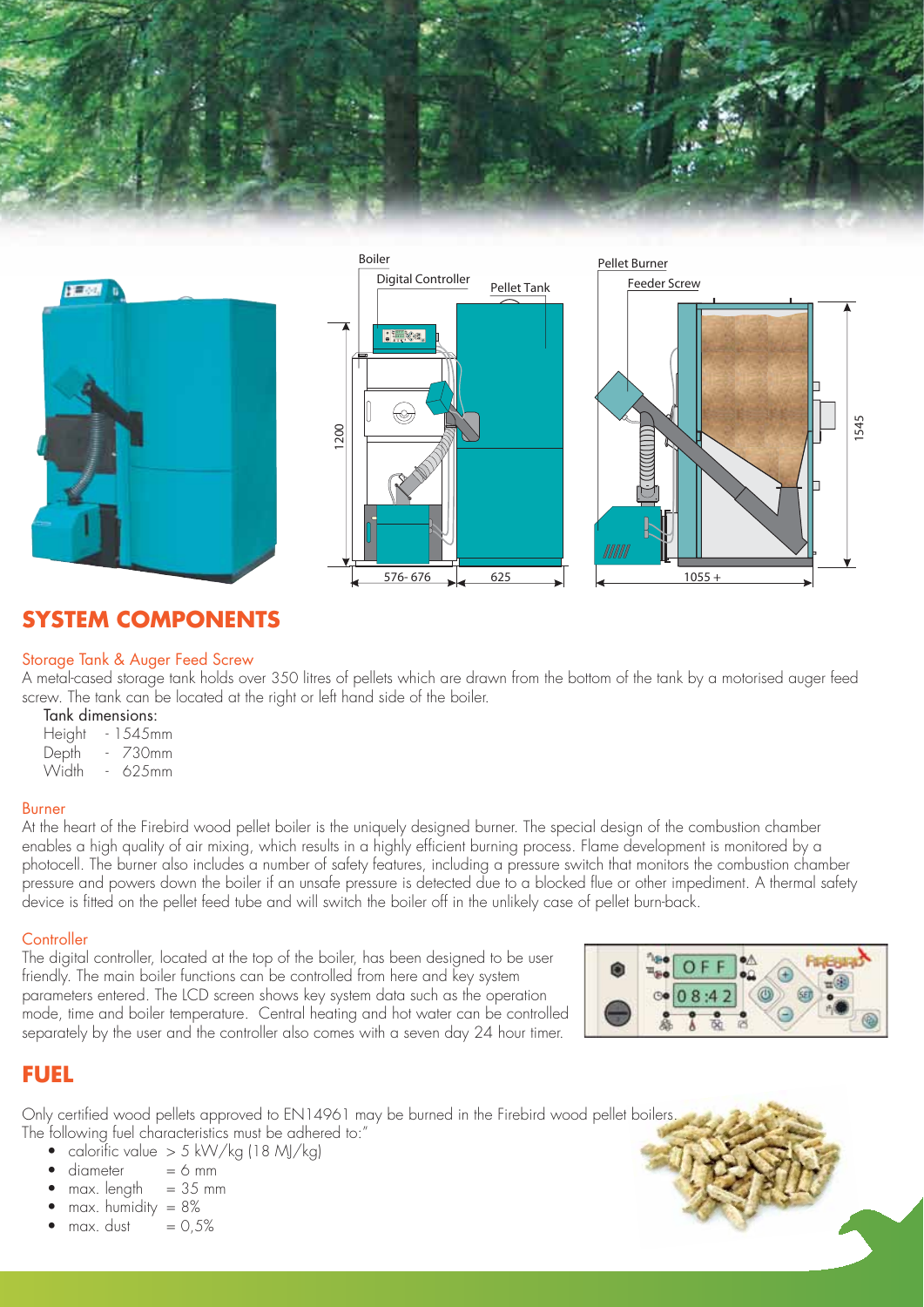



# **SYSTEM COMPONENTS**

#### Storage Tank & Auger Feed Screw

A metal-cased storage tank holds over 350 litres of pellets which are drawn from the bottom of the tank by a motorised auger feed screw. The tank can be located at the right or left hand side of the boiler.

### Tank dimensions:

- Height 1545mm
- Depth 730mm
- Width 625mm

#### Burner

At the heart of the Firebird wood pellet boiler is the uniquely designed burner. The special design of the combustion chamber enables a high quality of air mixing, which results in a highly efficient burning process. Flame development is monitored by a photocell. The burner also includes a number of safety features, including a pressure switch that monitors the combustion chamber pressure and powers down the boiler if an unsafe pressure is detected due to a blocked flue or other impediment. A thermal safety device is fitted on the pellet feed tube and will switch the boiler off in the unlikely case of pellet burn-back.

#### **Controller**

The digital controller, located at the top of the boiler, has been designed to be user friendly. The main boiler functions can be controlled from here and key system parameters entered. The LCD screen shows key system data such as the operation mode, time and boiler temperature. Central heating and hot water can be controlled separately by the user and the controller also comes with a seven day 24 hour timer.



## **FUEL**

Only certified wood pellets approved to EN14961 may be burned in the Firebird wood pellet boilers. The following fuel characteristics must be adhered to:"

- calorific value  $> 5$  kW/kg (18 MJ/kg)
- $diameter = 6 mm$
- $max.$  length = 35 mm
- max. humidity  $= 8\%$
- $max.$  dust  $= 0.5%$